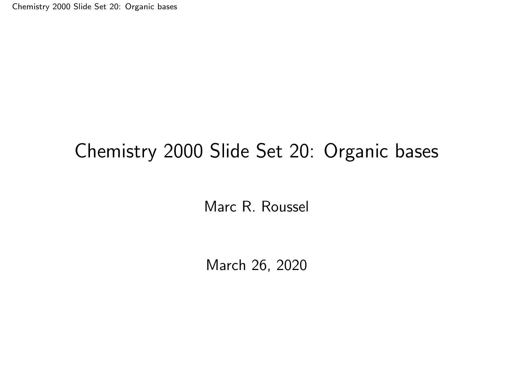<span id="page-0-0"></span>[Chemistry 2000 Slide Set 20: Organic bases](#page-24-0)

### Chemistry 2000 Slide Set 20: Organic bases

Marc R. Roussel

March 26, 2020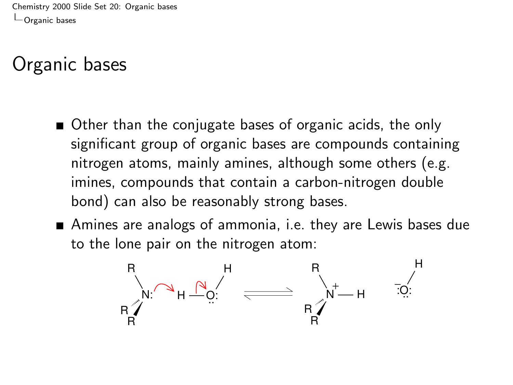### <span id="page-1-0"></span>Organic bases

- Other than the conjugate bases of organic acids, the only significant group of organic bases are compounds containing nitrogen atoms, mainly amines, although some others (e.g. imines, compounds that contain a carbon-nitrogen double bond) can also be reasonably strong bases.
- Amines are analogs of ammonia, i.e. they are Lewis bases due to the lone pair on the nitrogen atom:

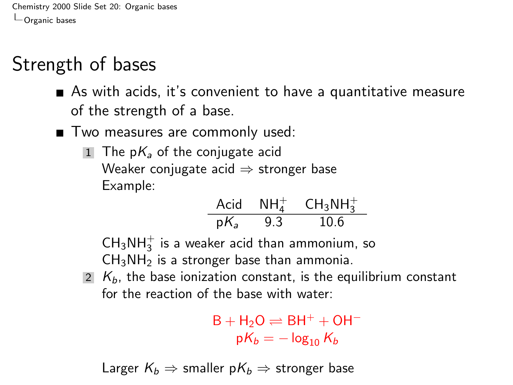## Strength of bases

- As with acids, it's convenient to have a quantitative measure of the strength of a base.
- Two measures are commonly used:
	- 1 The  $pK_a$  of the conjugate acid Weaker conjugate acid  $\Rightarrow$  stronger base Example:

$$
\begin{array}{cccc}\n\text{Acid} & \text{NH}_4^+ & \text{CH}_3\text{NH}_3^+ \\
\text{p}K_a & 9.3 & 10.6\n\end{array}
$$

 $\textsf{CH}_3\textsf{NH}_3^+$  is a weaker acid than ammonium, so  $CH<sub>3</sub>NH<sub>2</sub>$  is a stronger base than ammonia.

2  $K_b$ , the base ionization constant, is the equilibrium constant for the reaction of the base with water:

> $B + H_2O \rightleftharpoons BH^+ + OH^$  $pK_b = -\log_{10} K_b$

Larger  $K_b \Rightarrow$  smaller  $pK_b \Rightarrow$  stronger base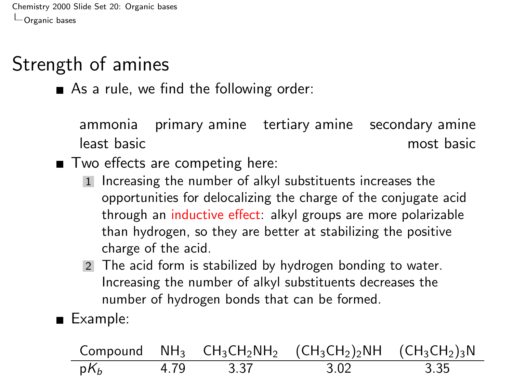# Strength of amines

As a rule, we find the following order:

ammonia primary amine tertiary amine secondary amine least basic most basic

■ Two effects are competing here:

- 1 Increasing the number of alkyl substituents increases the opportunities for delocalizing the charge of the conjugate acid through an inductive effect: alkyl groups are more polarizable than hydrogen, so they are better at stabilizing the positive charge of the acid.
- 2 The acid form is stabilized by hydrogen bonding to water. Increasing the number of alkyl substituents decreases the number of hydrogen bonds that can be formed.

Example:

|        |      |      | Compound $NH_3$ $CH_3CH_2NH_2$ $(CH_3CH_2)_2NH$ $(CH_3CH_2)_3N$ |      |
|--------|------|------|-----------------------------------------------------------------|------|
| $pK_h$ | 4.79 | 3.37 | 3.02                                                            | 3.35 |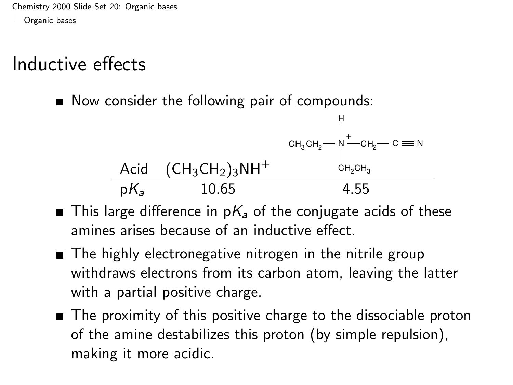## Inductive effects

Now consider the following pair of compounds:

H + CH<sup>3</sup> CH<sup>2</sup> CH<sup>2</sup> N C N Acid (CH3CH2)3NH<sup>+</sup> CH2CH<sup>3</sup> pK<sup>a</sup> 10.65 4.55

- $\blacksquare$  This large difference in  $pK_a$  of the conjugate acids of these amines arises because of an inductive effect.
- The highly electronegative nitrogen in the nitrile group withdraws electrons from its carbon atom, leaving the latter with a partial positive charge.
- The proximity of this positive charge to the dissociable proton of the amine destabilizes this proton (by simple repulsion), making it more acidic.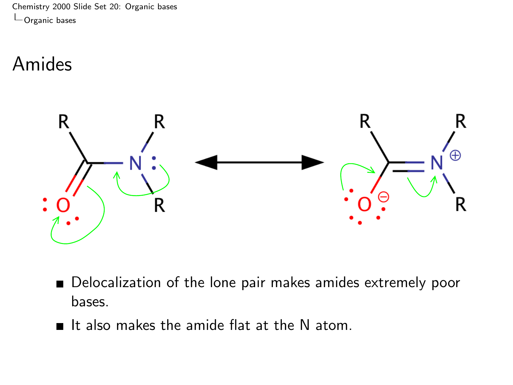### Amides



- Delocalization of the lone pair makes amides extremely poor bases.
- If also makes the amide flat at the N atom.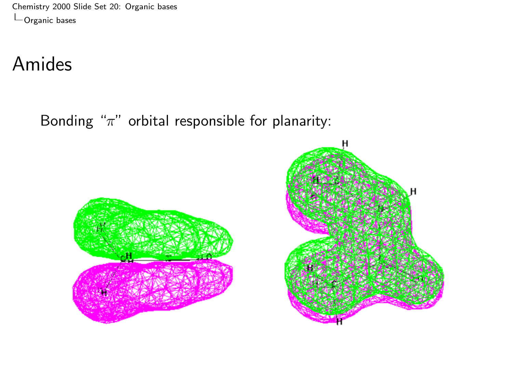[Chemistry 2000 Slide Set 20: Organic bases](#page-0-0)  $\mathrel{\rule{0pt}{1.1ex}\raisebox{0pt}{\text{}}}\mathrel{\rule{0pt}{1.1ex}\raisebox{0pt}{\text{}}}\mathrel{\rule{0pt}{1.1ex}\raisebox{0pt}{\text{}}}}$  [Organic bases](#page-1-0)

## Amides

Bonding " $\pi$ " orbital responsible for planarity:



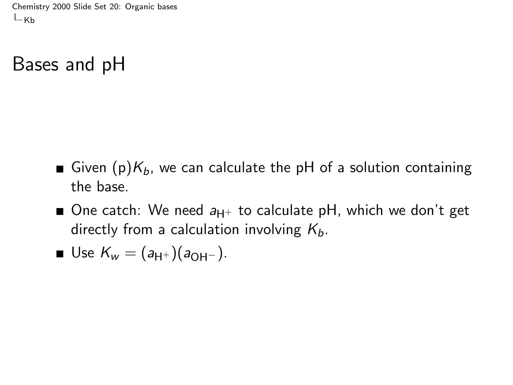<span id="page-7-0"></span>[Chemistry 2000 Slide Set 20: Organic bases](#page-0-0)  $L_{\text{Kb}}$  $L_{\text{Kb}}$  $L_{\text{Kb}}$ 

#### Bases and pH

- Given (p) $K_b$ , we can calculate the pH of a solution containing the base.
- One catch: We need  $a_{H^+}$  to calculate pH, which we don't get directly from a calculation involving  $K_b$ .

■ Use 
$$
K_w = (a_{H^+})(a_{OH^-})
$$
.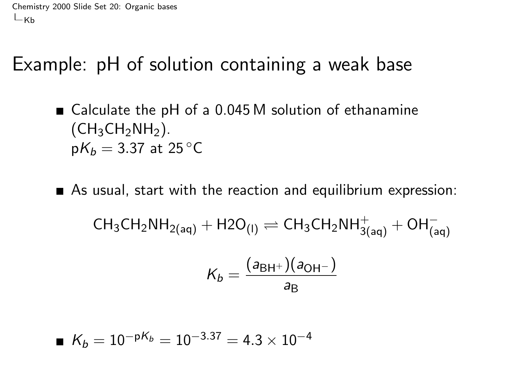[Chemistry 2000 Slide Set 20: Organic bases](#page-0-0)  $L_{\text{Kb}}$  $L_{\text{Kb}}$  $L_{\text{Kb}}$ 

### Example: pH of solution containing a weak base

- Calculate the pH of a 0.045 M solution of ethanamine  $(CH<sub>3</sub>CH<sub>2</sub>NH<sub>2</sub>)$ .  $pK_b = 3.37$  at 25 °C
- As usual, start with the reaction and equilibrium expression:  $\mathsf{CH}_3\mathsf{CH}_2\mathsf{NH}_{2(\mathsf{aq})} + \mathsf{H2O}_{(\mathsf{I})} \rightleftharpoons \mathsf{CH}_3\mathsf{CH}_2\mathsf{NH}_{3(\mathsf{aq})}^+ + \mathsf{OH}_{(\mathsf{aq})}^ (1 - \lambda)^2$

$$
K_b = \frac{(a_{\text{BH}^+})(a_{\text{OH}^-})}{a_{\text{B}}}
$$

$$
K_b = 10^{-pK_b} = 10^{-3.37} = 4.3 \times 10^{-4}
$$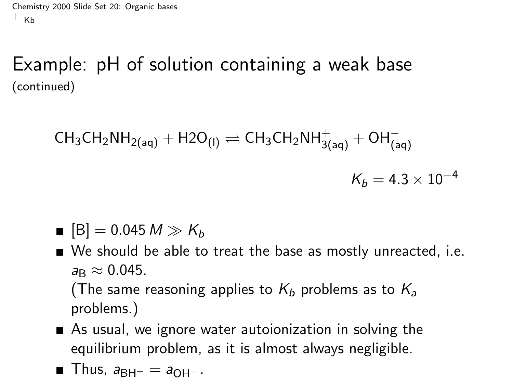[Chemistry 2000 Slide Set 20: Organic bases](#page-0-0)  $-<sub>Kh</sub>$ 

Example: pH of solution containing a weak base (continued)

$$
\text{CH}_{3}\text{CH}_{2}\text{NH}_{2(\text{aq})} + \text{H2O}_{(1)} \rightleftharpoons \text{CH}_{3}\text{CH}_{2}\text{NH}_{3(\text{aq})}^{+} + \text{OH}_{(\text{aq})}^{-}
$$
  

$$
K_{b} = 4.3 \times 10^{-4}
$$

$$
\blacksquare [\mathsf{B}] = 0.045\,M \gg K_b
$$

We should be able to treat the base as mostly unreacted, i.e.  $a_{\rm B} \approx 0.045$ .

(The same reasoning applies to  $K_b$  problems as to  $K_a$ problems.)

As usual, we ignore water autoionization in solving the equilibrium problem, as it is almost always negligible.

$$
\blacksquare
$$
 Thus,  $a_{\text{BH}^+} = a_{\text{OH}^-}$ .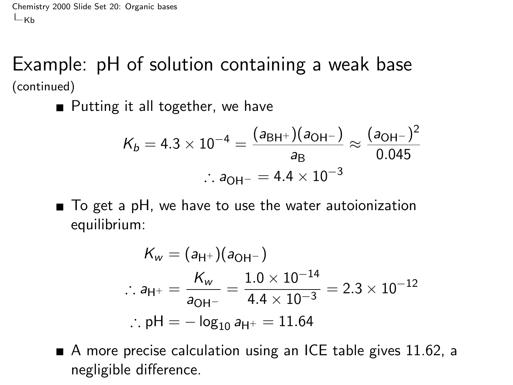[Chemistry 2000 Slide Set 20: Organic bases](#page-0-0)  $-<sub>Kh</sub>$ 

Example: pH of solution containing a weak base (continued)

■ Putting it all together, we have

$$
K_b = 4.3 \times 10^{-4} = \frac{(a_{\text{BH}^+})(a_{\text{OH}^-})}{a_{\text{B}}} \approx \frac{(a_{\text{OH}^-})^2}{0.045}
$$
  
:.  $a_{\text{OH}^-} = 4.4 \times 10^{-3}$ 

■ To get a pH, we have to use the water autoionization equilibrium:

$$
K_{w} = (a_{H^{+}})(a_{OH^{-}})
$$
  
∴  $a_{H^{+}} = \frac{K_{w}}{a_{OH^{-}}} = \frac{1.0 \times 10^{-14}}{4.4 \times 10^{-3}} = 2.3 \times 10^{-12}$   
∴ pH =  $-\log_{10} a_{H^{+}} = 11.64$ 

A more precise calculation using an ICE table gives 11.62, a negligible difference.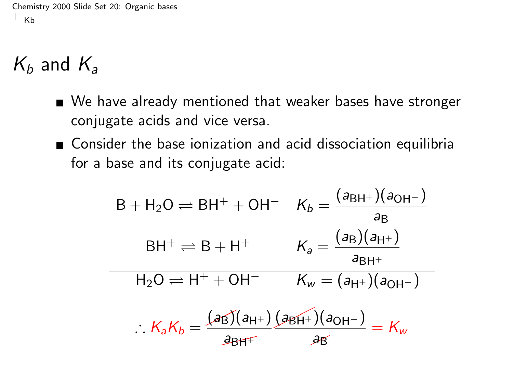[Chemistry 2000 Slide Set 20: Organic bases](#page-0-0)  $L_{\text{Kb}}$  $L_{\text{Kb}}$  $L_{\text{Kb}}$ 

# $K_b$  and  $K_a$

- We have already mentioned that weaker bases have stronger conjugate acids and vice versa.
- Consider the base ionization and acid dissociation equilibria for a base and its conjugate acid:

$$
B + H_2O \rightleftharpoons BH^+ + OH^- \quad K_b = \frac{(a_{BH^+})(a_{OH^-})}{a_B}
$$
\n
$$
BH^+ \rightleftharpoons B + H^+ \qquad K_a = \frac{(a_B)(a_{H^+})}{a_{BH^+}}
$$
\n
$$
H_2O \rightleftharpoons H^+ + OH^- \qquad K_w = (a_{H^+})(a_{OH^-})
$$
\n
$$
\therefore K_aK_b = \frac{(a_{H^+})(a_{HH^-})}{a_{BH^+}} \cdot \frac{(a_{HH^+})(a_{OH^-})}{a_{H^+}} = K_w
$$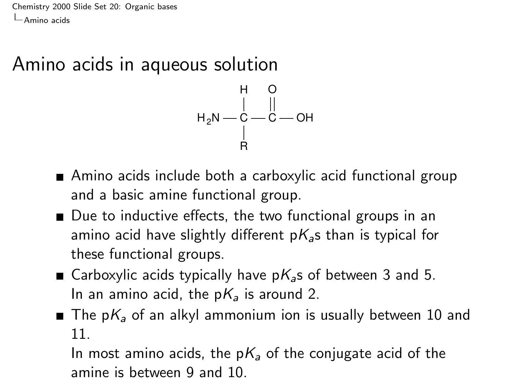<span id="page-12-0"></span>[Chemistry 2000 Slide Set 20: Organic bases](#page-0-0) [Amino acids](#page-12-0)

#### Amino acids in aqueous solution



- Amino acids include both a carboxylic acid functional group and a basic amine functional group.
- Due to inductive effects, the two functional groups in an amino acid have slightly different  $pK_a$ s than is typical for these functional groups.
- Garboxylic acids typically have  $pK<sub>a</sub>$ s of between 3 and 5. In an amino acid, the  $pK_a$  is around 2.
- The p $K_a$  of an alkyl ammonium ion is usually between 10 and 11.

In most amino acids, the p $K_a$  of the conjugate acid of the amine is between 9 and 10.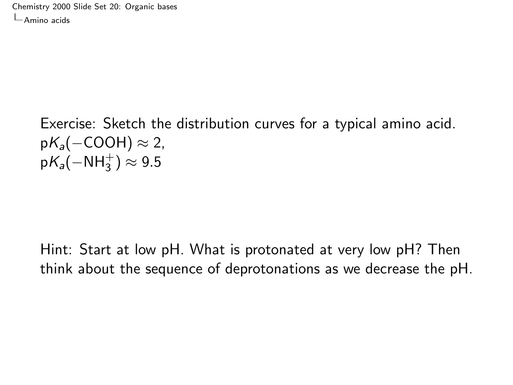[Chemistry 2000 Slide Set 20: Organic bases](#page-0-0) [Amino acids](#page-12-0)

> Exercise: Sketch the distribution curves for a typical amino acid.  $pK_a(-COOH) \approx 2$ ,  $\mathsf{p} \mathsf{K}_\mathsf{a}(-\mathsf{NH}_3^+) \approx 9.5$

Hint: Start at low pH. What is protonated at very low pH? Then think about the sequence of deprotonations as we decrease the pH.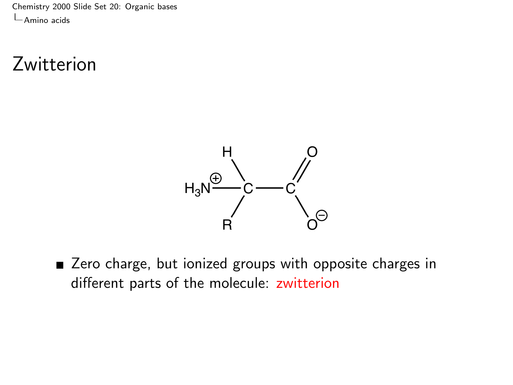[Chemistry 2000 Slide Set 20: Organic bases](#page-0-0) [Amino acids](#page-12-0)

### Zwitterion



■ Zero charge, but ionized groups with opposite charges in different parts of the molecule: zwitterion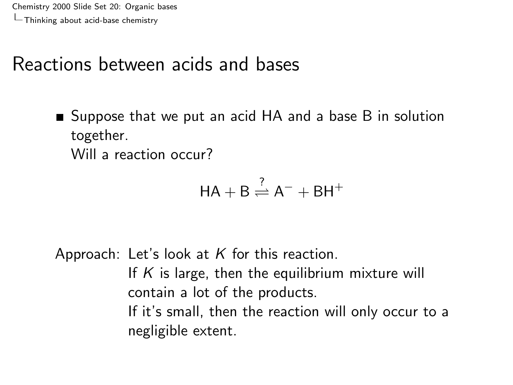### <span id="page-15-0"></span>Reactions between acids and bases

■ Suppose that we put an acid HA and a base B in solution together.

Will a reaction occur?

$$
HA+B\overset{?}{\rightleftharpoons}A^-+BH^+
$$

Approach: Let's look at  $K$  for this reaction. If  $K$  is large, then the equilibrium mixture will contain a lot of the products. If it's small, then the reaction will only occur to a negligible extent.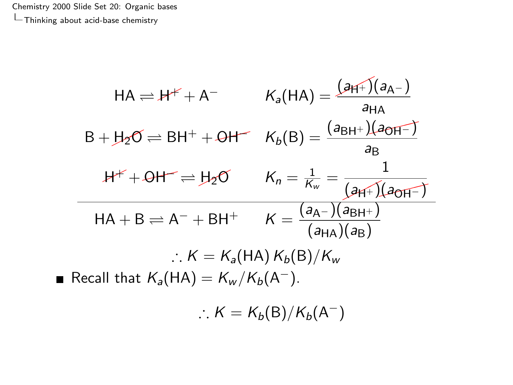$\blacksquare$ 

$$
HA = H^+ + A^- \qquad K_a(HA) = \frac{(3H^+)(a_{A-})}{a_{HA}}
$$
  
\n
$$
B + H_2O \rightleftharpoons BH^+ + OH^- \qquad K_b(B) = \frac{(a_{BH^+})(a_{OH^-})}{a_B}
$$
  
\n
$$
H^+ + OH^- \rightleftharpoons H_2O \qquad K_n = \frac{1}{K_w} = \frac{1}{(3H^+)(a_{OH^-})}
$$
  
\n
$$
HA + B \rightleftharpoons A^- + BH^+ \qquad K = \frac{(a_{A-})(a_{BH^+})}{(a_{HA})(a_B)}
$$
  
\n
$$
\therefore K = K_a(HA) K_b(B)/K_w
$$
  
\nRecall that  $K_a(HA) = K_w/K_b(A^-)$ .  
\n
$$
\therefore K = K_b(B)/K_b(A^-)
$$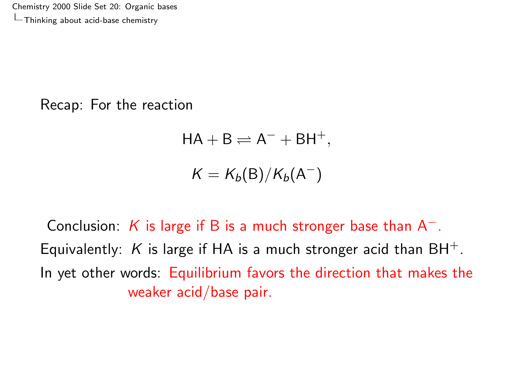Recap: For the reaction

$$
HA + B \rightleftharpoons A^- + BH^+,
$$
  

$$
K = K_b(B)/K_b(A^-)
$$

Conclusion: K is large if B is a much stronger base than  $A^-$ . Equivalently: K is large if HA is a much stronger acid than  $BH^+$ . In yet other words: Equilibrium favors the direction that makes the weaker acid/base pair.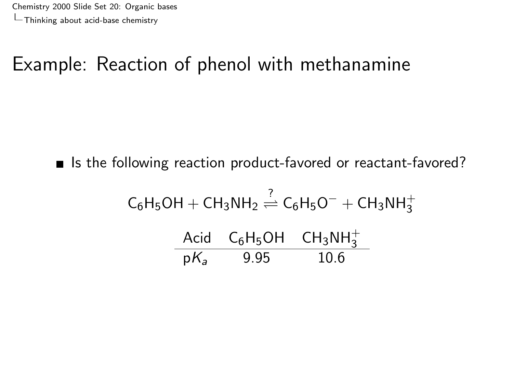# Example: Reaction of phenol with methanamine

■ Is the following reaction product-favored or reactant-favored?

$$
C_6H_5OH + CH_3NH_2 \stackrel{?}{\rightleftharpoons} C_6H_5O^- + CH_3NH_3^+
$$
  
Acid  $C_6H_5OH$   $CH_3NH_3^+$   
 $pK_a$  9.95 10.6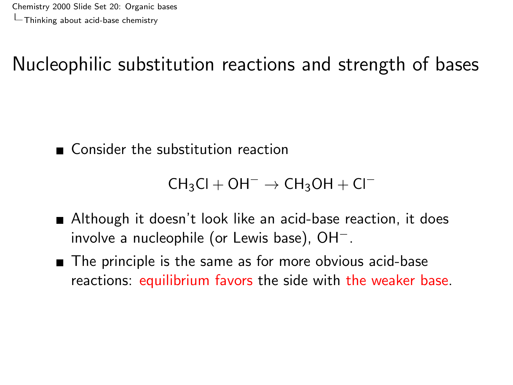# Nucleophilic substitution reactions and strength of bases

■ Consider the substitution reaction

```
CH_3Cl + OH^- \rightarrow CH_3OH + Cl^-
```
- Although it doesn't look like an acid-base reaction, it does involve a nucleophile (or Lewis base), OH−.
- The principle is the same as for more obvious acid-base reactions: equilibrium favors the side with the weaker base.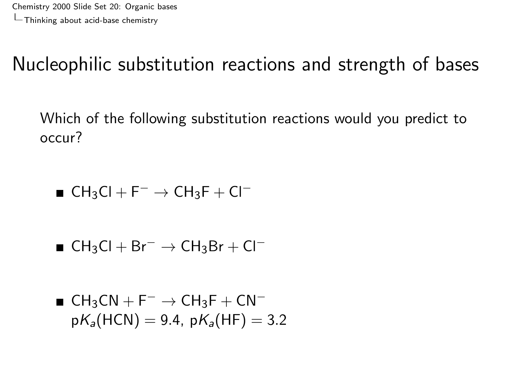# Nucleophilic substitution reactions and strength of bases

Which of the following substitution reactions would you predict to occur?

■ CH<sub>3</sub>Cl + F<sup>-</sup>  $\rightarrow$  CH<sub>3</sub>F + Cl<sup>-</sup>

■  $CH_3Cl + Br^- \rightarrow CH_3Br + Cl^-$ 

$$
\blacksquare \text{ CH}_3\text{CN} + \text{F}^- \rightarrow \text{CH}_3\text{F} + \text{CN}^-
$$
  

$$
pK_a(\text{HCN}) = 9.4, pK_a(\text{HF}) = 3.2
$$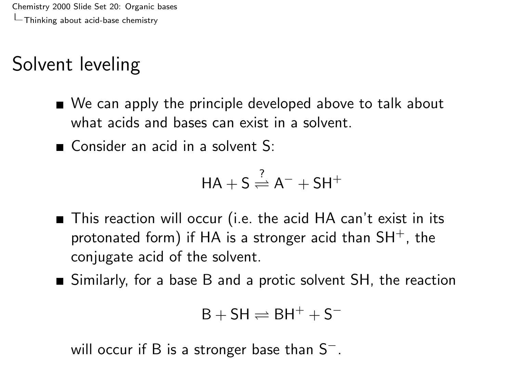# Solvent leveling

- We can apply the principle developed above to talk about what acids and bases can exist in a solvent.
- Consider an acid in a solvent  $S<sup>r</sup>$

$$
HA + S \stackrel{?}{\rightleftharpoons} A^- + SH^+
$$

- This reaction will occur (i.e. the acid HA can't exist in its protonated form) if HA is a stronger acid than  $SH^+$ , the conjugate acid of the solvent.
- Similarly, for a base B and a protic solvent SH, the reaction

```
B + SH \rightleftharpoons BH^+ + S^-
```
will occur if B is a stronger base than S<sup>−</sup>.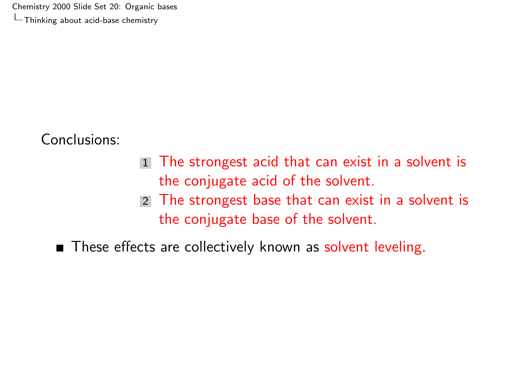Conclusions:

- 1 The strongest acid that can exist in a solvent is the conjugate acid of the solvent.
- 2 The strongest base that can exist in a solvent is the conjugate base of the solvent.

These effects are collectively known as solvent leveling.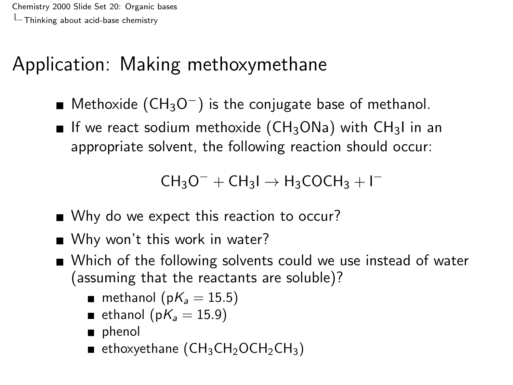# Application: Making methoxymethane

- Methoxide  $(CH_3O^-)$  is the conjugate base of methanol.
- If we react sodium methoxide ( $CH<sub>3</sub>ONa$ ) with  $CH<sub>3</sub>I$  in an appropriate solvent, the following reaction should occur:

 $CH_3O^- + CH_3I \rightarrow H_3COCH_3 + I^-$ 

- Why do we expect this reaction to occur?
- Why won't this work in water?
- Which of the following solvents could we use instead of water (assuming that the reactants are soluble)?
	- **m** methanol ( $pK_a = 15.5$ )
	- ethanol (p $K_a = 15.9$ )
	- phenol
	- **E** ethoxyethane ( $CH_3CH_2OCH_2CH_3$ )